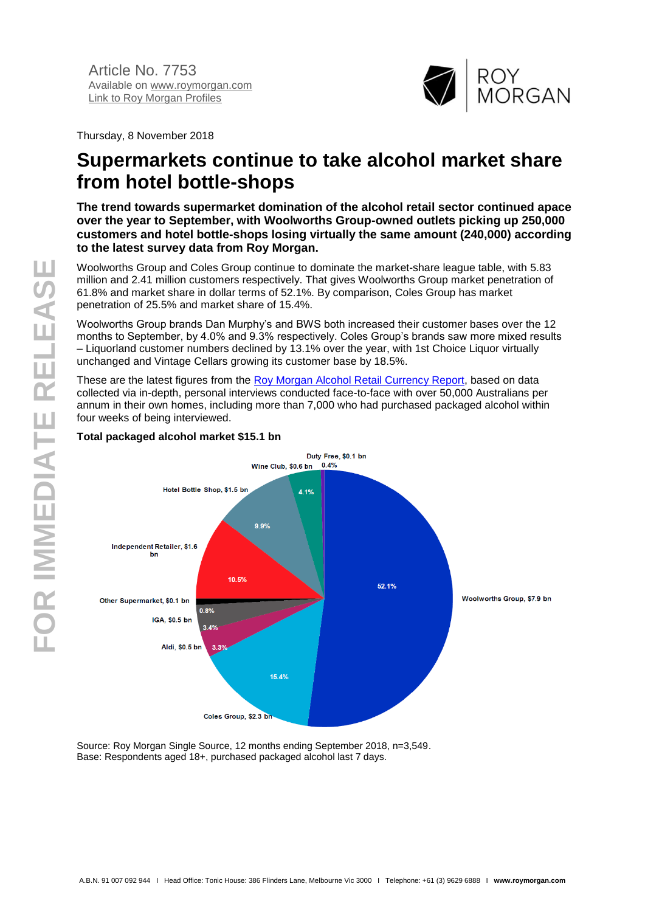

Thursday, 8 November 2018

# **Supermarkets continue to take alcohol market share from hotel bottle-shops**

**The trend towards supermarket domination of the alcohol retail sector continued apace over the year to September, with Woolworths Group-owned outlets picking up 250,000 customers and hotel bottle-shops losing virtually the same amount (240,000) according to the latest survey data from Roy Morgan.**

Woolworths Group and Coles Group continue to dominate the market-share league table, with 5.83 million and 2.41 million customers respectively. That gives Woolworths Group market penetration of 61.8% and market share in dollar terms of 52.1%. By comparison, Coles Group has market penetration of 25.5% and market share of 15.4%.

Woolworths Group brands Dan Murphy's and BWS both increased their customer bases over the 12 months to September, by 4.0% and 9.3% respectively. Coles Group's brands saw more mixed results – Liquorland customer numbers declined by 13.1% over the year, with 1st Choice Liquor virtually unchanged and Vintage Cellars growing its customer base by 18.5%.

These are the latest figures from the [Roy Morgan Alcohol Retail Currency Report,](http://www.roymorganonlinestore.com/Browse/Australia/Alcohol/Liquor-Retailing-Trend-Reports/Alcohol-Retail-Currency-Report.aspx) based on data collected via in-depth, personal interviews conducted face-to-face with over 50,000 Australians per annum in their own homes, including more than 7,000 who had purchased packaged alcohol within four weeks of being interviewed.



# **Total packaged alcohol market \$15.1 bn**

Source: Roy Morgan Single Source, 12 months ending September 2018, n=3,549. Base: Respondents aged 18+, purchased packaged alcohol last 7 days.